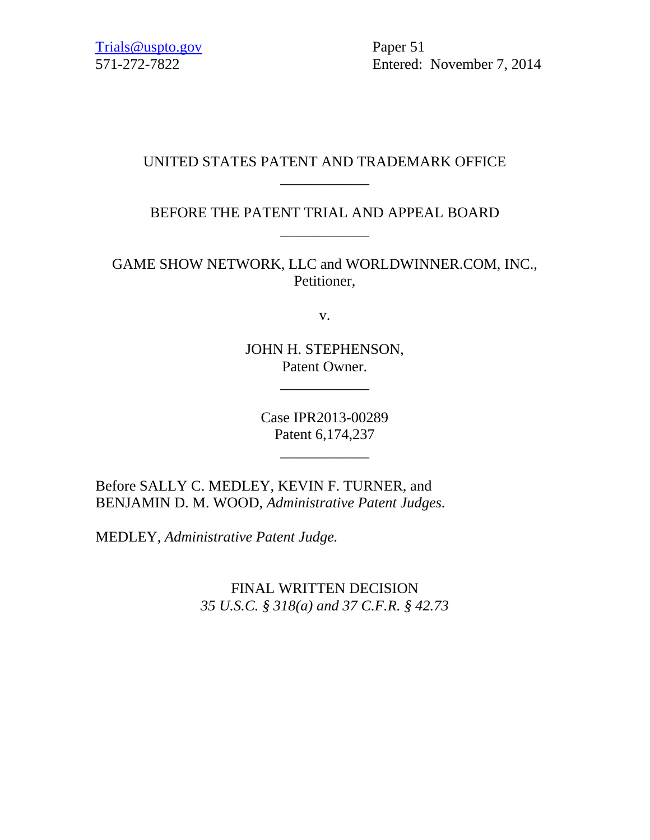Trials@uspto.gov Paper 51

571-272-7822 Entered: November 7, 2014

# UNITED STATES PATENT AND TRADEMARK OFFICE \_\_\_\_\_\_\_\_\_\_\_\_

BEFORE THE PATENT TRIAL AND APPEAL BOARD \_\_\_\_\_\_\_\_\_\_\_\_

GAME SHOW NETWORK, LLC and WORLDWINNER.COM, INC., Petitioner,

v.

JOHN H. STEPHENSON, Patent Owner.

\_\_\_\_\_\_\_\_\_\_\_\_

Case IPR2013-00289 Patent 6,174,237

\_\_\_\_\_\_\_\_\_\_\_\_

Before SALLY C. MEDLEY, KEVIN F. TURNER, and BENJAMIN D. M. WOOD, *Administrative Patent Judges.* 

MEDLEY, *Administrative Patent Judge.* 

FINAL WRITTEN DECISION *35 U.S.C. § 318(a) and 37 C.F.R. § 42.73*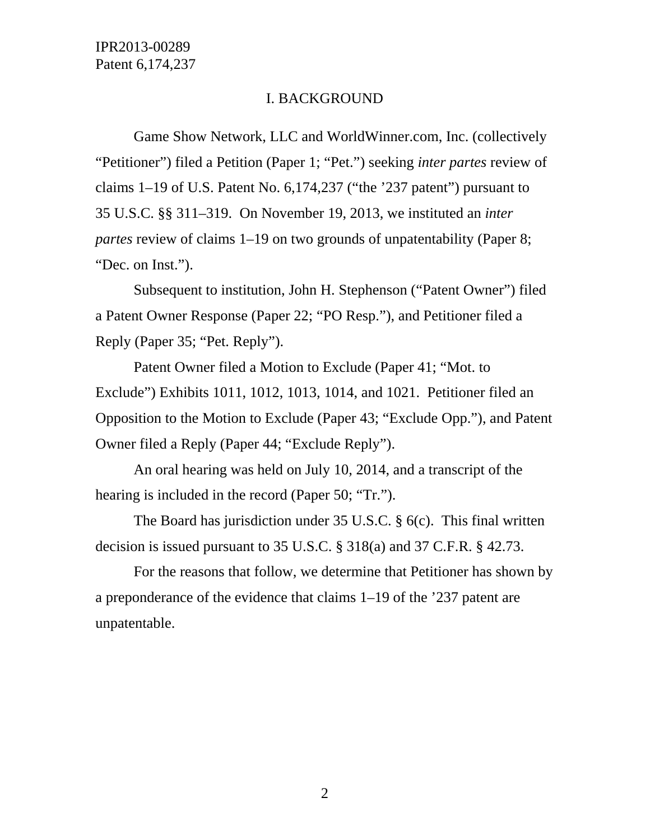### I. BACKGROUND

Game Show Network, LLC and WorldWinner.com, Inc. (collectively "Petitioner") filed a Petition (Paper 1; "Pet.") seeking *inter partes* review of claims 1–19 of U.S. Patent No. 6,174,237 ("the '237 patent") pursuant to 35 U.S.C. §§ 311–319. On November 19, 2013, we instituted an *inter partes* review of claims 1–19 on two grounds of unpatentability (Paper 8; "Dec. on Inst.").

Subsequent to institution, John H. Stephenson ("Patent Owner") filed a Patent Owner Response (Paper 22; "PO Resp."), and Petitioner filed a Reply (Paper 35; "Pet. Reply").

Patent Owner filed a Motion to Exclude (Paper 41; "Mot. to Exclude") Exhibits 1011, 1012, 1013, 1014, and 1021. Petitioner filed an Opposition to the Motion to Exclude (Paper 43; "Exclude Opp."), and Patent Owner filed a Reply (Paper 44; "Exclude Reply").

An oral hearing was held on July 10, 2014, and a transcript of the hearing is included in the record (Paper 50; "Tr.").

The Board has jurisdiction under 35 U.S.C. § 6(c). This final written decision is issued pursuant to 35 U.S.C. § 318(a) and 37 C.F.R. § 42.73.

For the reasons that follow, we determine that Petitioner has shown by a preponderance of the evidence that claims 1–19 of the '237 patent are unpatentable.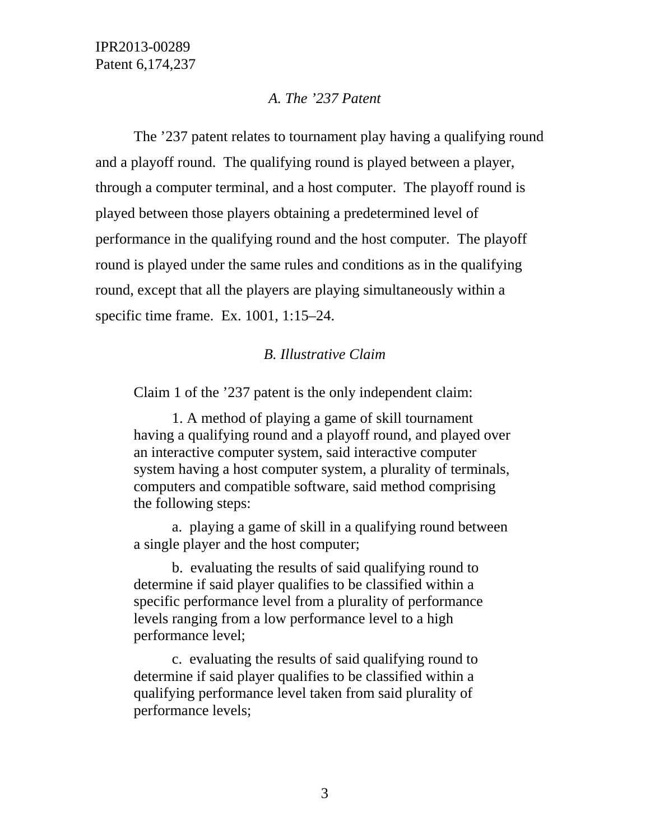### *A. The '237 Patent*

The '237 patent relates to tournament play having a qualifying round and a playoff round. The qualifying round is played between a player, through a computer terminal, and a host computer. The playoff round is played between those players obtaining a predetermined level of performance in the qualifying round and the host computer. The playoff round is played under the same rules and conditions as in the qualifying round, except that all the players are playing simultaneously within a specific time frame. Ex. 1001, 1:15–24.

## *B. Illustrative Claim*

Claim 1 of the '237 patent is the only independent claim:

1. A method of playing a game of skill tournament having a qualifying round and a playoff round, and played over an interactive computer system, said interactive computer system having a host computer system, a plurality of terminals, computers and compatible software, said method comprising the following steps:

a. playing a game of skill in a qualifying round between a single player and the host computer;

b. evaluating the results of said qualifying round to determine if said player qualifies to be classified within a specific performance level from a plurality of performance levels ranging from a low performance level to a high performance level;

c. evaluating the results of said qualifying round to determine if said player qualifies to be classified within a qualifying performance level taken from said plurality of performance levels;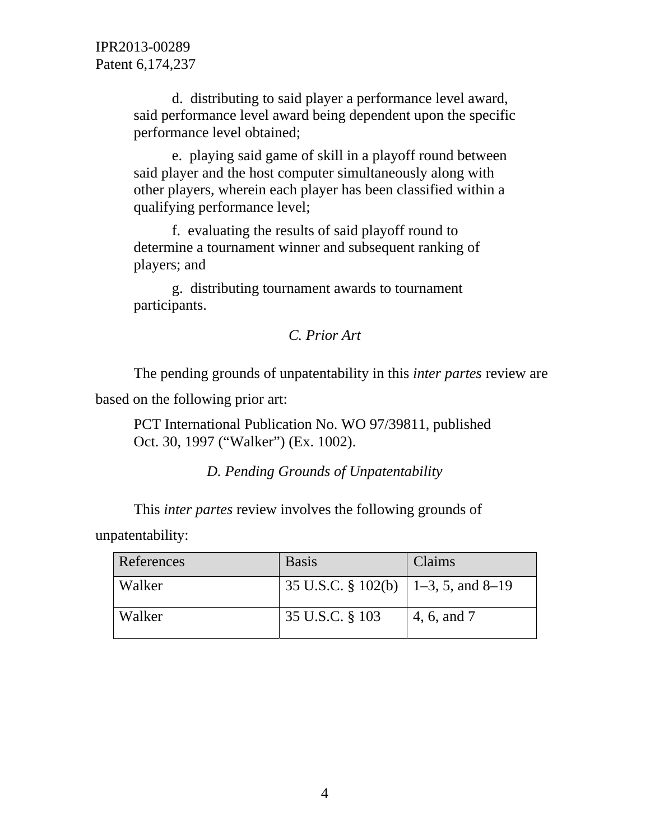d. distributing to said player a performance level award, said performance level award being dependent upon the specific performance level obtained;

e. playing said game of skill in a playoff round between said player and the host computer simultaneously along with other players, wherein each player has been classified within a qualifying performance level;

f. evaluating the results of said playoff round to determine a tournament winner and subsequent ranking of players; and

g. distributing tournament awards to tournament participants.

# *C. Prior Art*

The pending grounds of unpatentability in this *inter partes* review are

based on the following prior art:

PCT International Publication No. WO 97/39811, published Oct. 30, 1997 ("Walker") (Ex. 1002).

# *D. Pending Grounds of Unpatentability*

This *inter partes* review involves the following grounds of unpatentability:

| References | <b>Basis</b>                                | Claims      |
|------------|---------------------------------------------|-------------|
| Walker     | 35 U.S.C. § 102(b) $\vert$ 1–3, 5, and 8–19 |             |
| Walker     | 35 U.S.C. § 103                             | 4, 6, and 7 |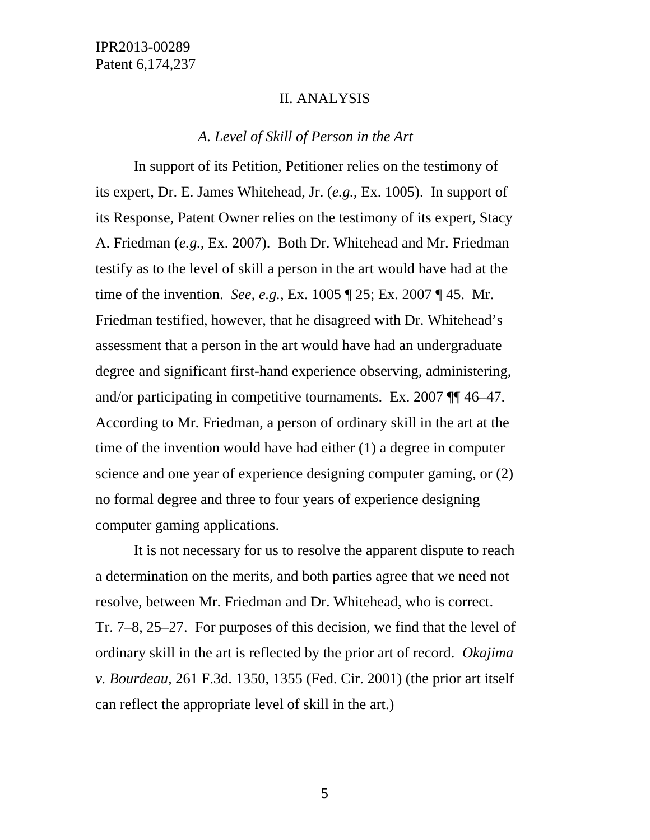#### II. ANALYSIS

### *A. Level of Skill of Person in the Art*

 In support of its Petition, Petitioner relies on the testimony of its expert, Dr. E. James Whitehead, Jr. (*e.g.*, Ex. 1005). In support of its Response, Patent Owner relies on the testimony of its expert, Stacy A. Friedman (*e.g.*, Ex. 2007). Both Dr. Whitehead and Mr. Friedman testify as to the level of skill a person in the art would have had at the time of the invention. *See, e.g.*, Ex. 1005 ¶ 25; Ex. 2007 ¶ 45. Mr. Friedman testified, however, that he disagreed with Dr. Whitehead's assessment that a person in the art would have had an undergraduate degree and significant first-hand experience observing, administering, and/or participating in competitive tournaments. Ex. 2007 ¶¶ 46–47. According to Mr. Friedman, a person of ordinary skill in the art at the time of the invention would have had either (1) a degree in computer science and one year of experience designing computer gaming, or (2) no formal degree and three to four years of experience designing computer gaming applications.

 It is not necessary for us to resolve the apparent dispute to reach a determination on the merits, and both parties agree that we need not resolve, between Mr. Friedman and Dr. Whitehead, who is correct. Tr. 7–8, 25–27. For purposes of this decision, we find that the level of ordinary skill in the art is reflected by the prior art of record. *Okajima v. Bourdeau*, 261 F.3d. 1350, 1355 (Fed. Cir. 2001) (the prior art itself can reflect the appropriate level of skill in the art.)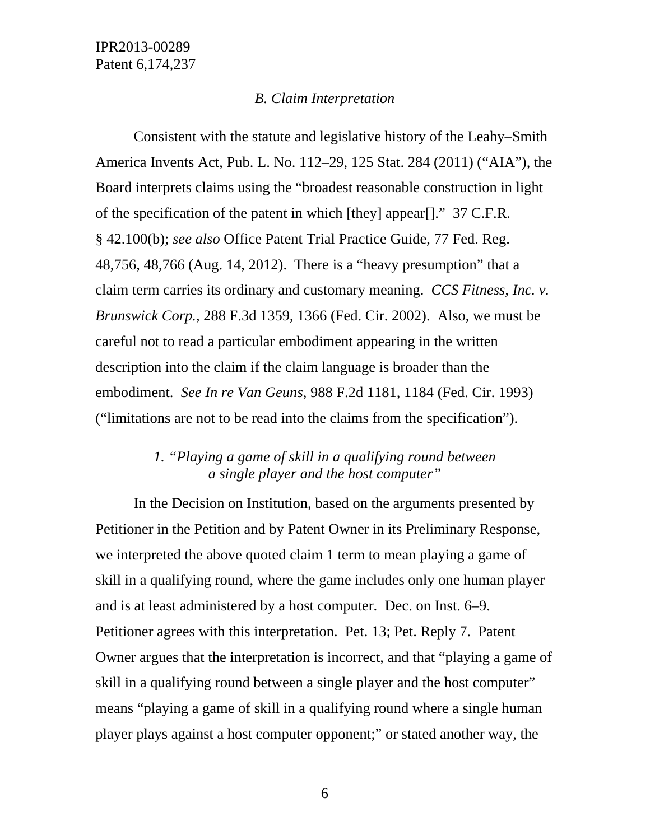#### *B. Claim Interpretation*

Consistent with the statute and legislative history of the Leahy–Smith America Invents Act, Pub. L. No. 112–29, 125 Stat. 284 (2011) ("AIA"), the Board interprets claims using the "broadest reasonable construction in light of the specification of the patent in which [they] appear[]." 37 C.F.R. § 42.100(b); *see also* Office Patent Trial Practice Guide, 77 Fed. Reg. 48,756, 48,766 (Aug. 14, 2012). There is a "heavy presumption" that a claim term carries its ordinary and customary meaning. *CCS Fitness, Inc. v. Brunswick Corp.*, 288 F.3d 1359, 1366 (Fed. Cir. 2002). Also, we must be careful not to read a particular embodiment appearing in the written description into the claim if the claim language is broader than the embodiment. *See In re Van Geuns*, 988 F.2d 1181, 1184 (Fed. Cir. 1993) ("limitations are not to be read into the claims from the specification").

# *1. "Playing a game of skill in a qualifying round between a single player and the host computer"*

In the Decision on Institution, based on the arguments presented by Petitioner in the Petition and by Patent Owner in its Preliminary Response, we interpreted the above quoted claim 1 term to mean playing a game of skill in a qualifying round, where the game includes only one human player and is at least administered by a host computer. Dec. on Inst. 6–9. Petitioner agrees with this interpretation. Pet. 13; Pet. Reply 7. Patent Owner argues that the interpretation is incorrect, and that "playing a game of skill in a qualifying round between a single player and the host computer" means "playing a game of skill in a qualifying round where a single human player plays against a host computer opponent;" or stated another way, the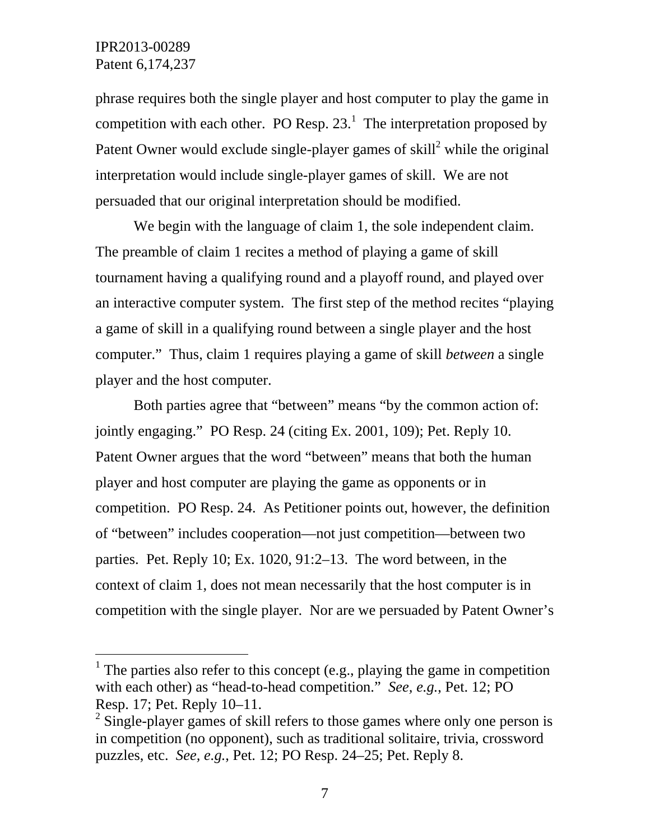l

phrase requires both the single player and host computer to play the game in competition with each other. PO Resp. 23.<sup>1</sup> The interpretation proposed by Patent Owner would exclude single-player games of skill<sup>2</sup> while the original interpretation would include single-player games of skill. We are not persuaded that our original interpretation should be modified.

We begin with the language of claim 1, the sole independent claim. The preamble of claim 1 recites a method of playing a game of skill tournament having a qualifying round and a playoff round, and played over an interactive computer system. The first step of the method recites "playing a game of skill in a qualifying round between a single player and the host computer." Thus, claim 1 requires playing a game of skill *between* a single player and the host computer.

Both parties agree that "between" means "by the common action of: jointly engaging." PO Resp. 24 (citing Ex. 2001, 109); Pet. Reply 10. Patent Owner argues that the word "between" means that both the human player and host computer are playing the game as opponents or in competition. PO Resp. 24. As Petitioner points out, however, the definition of "between" includes cooperation—not just competition—between two parties. Pet. Reply 10; Ex. 1020, 91:2–13. The word between, in the context of claim 1, does not mean necessarily that the host computer is in competition with the single player. Nor are we persuaded by Patent Owner's

<sup>&</sup>lt;sup>1</sup> The parties also refer to this concept (e.g., playing the game in competition with each other) as "head-to-head competition." *See, e.g.*, Pet. 12; PO Resp. 17; Pet. Reply 10–11.

 $2^2$  Single-player games of skill refers to those games where only one person is in competition (no opponent), such as traditional solitaire, trivia, crossword puzzles, etc. *See, e.g.*, Pet. 12; PO Resp. 24–25; Pet. Reply 8.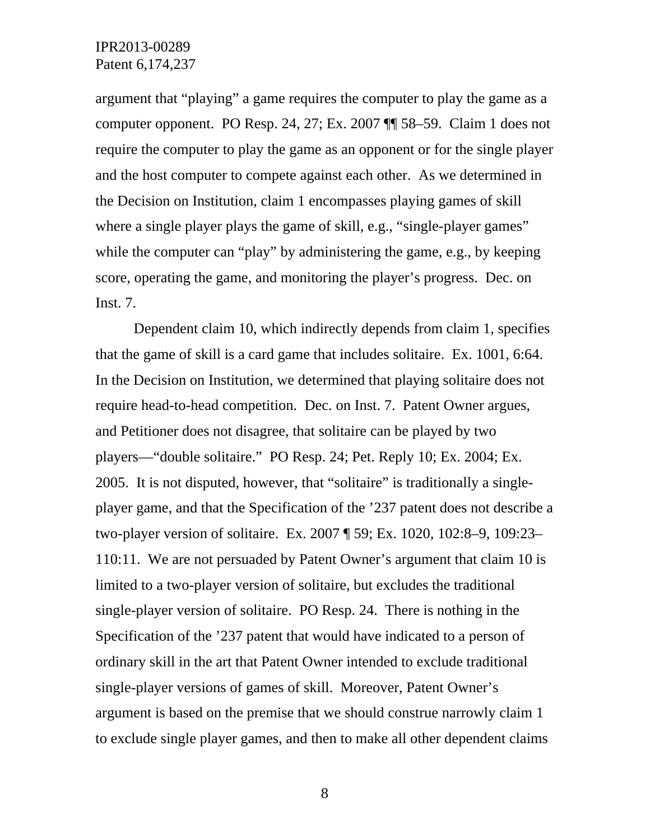argument that "playing" a game requires the computer to play the game as a computer opponent. PO Resp. 24, 27; Ex. 2007 ¶¶ 58–59. Claim 1 does not require the computer to play the game as an opponent or for the single player and the host computer to compete against each other. As we determined in the Decision on Institution, claim 1 encompasses playing games of skill where a single player plays the game of skill, e.g., "single-player games" while the computer can "play" by administering the game, e.g., by keeping score, operating the game, and monitoring the player's progress. Dec. on Inst. 7.

Dependent claim 10, which indirectly depends from claim 1, specifies that the game of skill is a card game that includes solitaire. Ex. 1001, 6:64. In the Decision on Institution, we determined that playing solitaire does not require head-to-head competition. Dec. on Inst. 7. Patent Owner argues, and Petitioner does not disagree, that solitaire can be played by two players—"double solitaire." PO Resp. 24; Pet. Reply 10; Ex. 2004; Ex. 2005. It is not disputed, however, that "solitaire" is traditionally a singleplayer game, and that the Specification of the '237 patent does not describe a two-player version of solitaire. Ex. 2007 ¶ 59; Ex. 1020, 102:8–9, 109:23– 110:11. We are not persuaded by Patent Owner's argument that claim 10 is limited to a two-player version of solitaire, but excludes the traditional single-player version of solitaire. PO Resp. 24. There is nothing in the Specification of the '237 patent that would have indicated to a person of ordinary skill in the art that Patent Owner intended to exclude traditional single-player versions of games of skill. Moreover, Patent Owner's argument is based on the premise that we should construe narrowly claim 1 to exclude single player games, and then to make all other dependent claims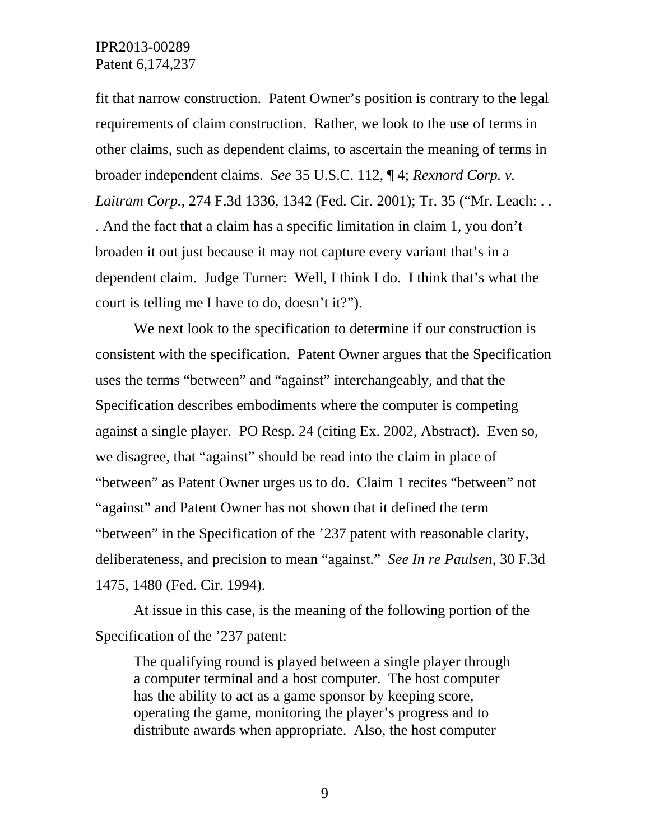fit that narrow construction. Patent Owner's position is contrary to the legal requirements of claim construction. Rather, we look to the use of terms in other claims, such as dependent claims, to ascertain the meaning of terms in broader independent claims. *See* 35 U.S.C. 112, ¶ 4; *Rexnord Corp. v. Laitram Corp.*, 274 F.3d 1336, 1342 (Fed. Cir. 2001); Tr. 35 ("Mr. Leach: . . . And the fact that a claim has a specific limitation in claim 1, you don't broaden it out just because it may not capture every variant that's in a dependent claim. Judge Turner: Well, I think I do. I think that's what the court is telling me I have to do, doesn't it?").

We next look to the specification to determine if our construction is consistent with the specification. Patent Owner argues that the Specification uses the terms "between" and "against" interchangeably, and that the Specification describes embodiments where the computer is competing against a single player. PO Resp. 24 (citing Ex. 2002, Abstract). Even so, we disagree, that "against" should be read into the claim in place of "between" as Patent Owner urges us to do. Claim 1 recites "between" not "against" and Patent Owner has not shown that it defined the term "between" in the Specification of the '237 patent with reasonable clarity, deliberateness, and precision to mean "against." *See In re Paulsen*, 30 F.3d 1475, 1480 (Fed. Cir. 1994).

At issue in this case, is the meaning of the following portion of the Specification of the '237 patent:

The qualifying round is played between a single player through a computer terminal and a host computer. The host computer has the ability to act as a game sponsor by keeping score, operating the game, monitoring the player's progress and to distribute awards when appropriate. Also, the host computer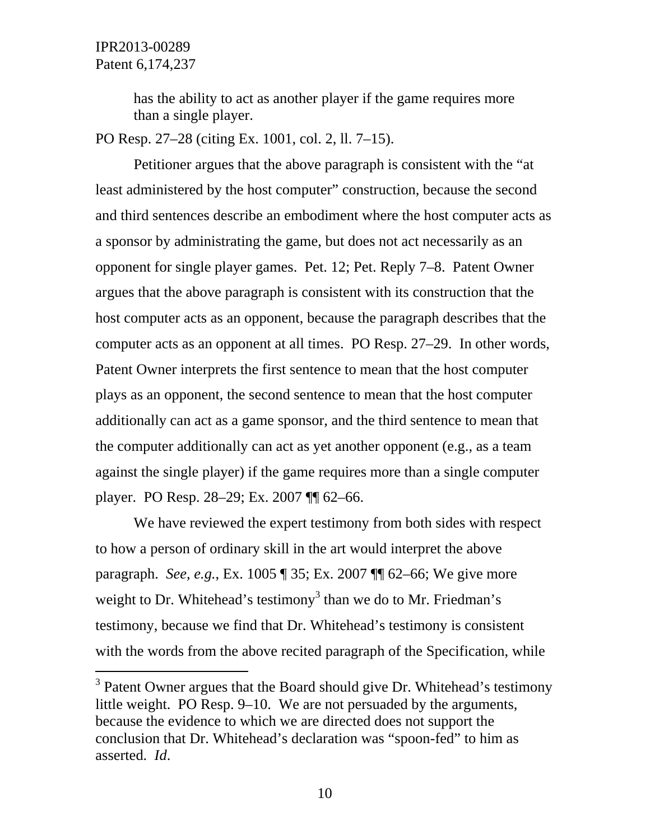l

has the ability to act as another player if the game requires more than a single player.

PO Resp. 27–28 (citing Ex. 1001, col. 2, ll. 7–15).

Petitioner argues that the above paragraph is consistent with the "at least administered by the host computer" construction, because the second and third sentences describe an embodiment where the host computer acts as a sponsor by administrating the game, but does not act necessarily as an opponent for single player games. Pet. 12; Pet. Reply 7–8. Patent Owner argues that the above paragraph is consistent with its construction that the host computer acts as an opponent, because the paragraph describes that the computer acts as an opponent at all times. PO Resp. 27–29. In other words, Patent Owner interprets the first sentence to mean that the host computer plays as an opponent, the second sentence to mean that the host computer additionally can act as a game sponsor, and the third sentence to mean that the computer additionally can act as yet another opponent (e.g., as a team against the single player) if the game requires more than a single computer player. PO Resp. 28–29; Ex. 2007 ¶¶ 62–66.

We have reviewed the expert testimony from both sides with respect to how a person of ordinary skill in the art would interpret the above paragraph. *See, e.g.*, Ex. 1005 ¶ 35; Ex. 2007 ¶¶ 62–66; We give more weight to Dr. Whitehead's testimony<sup>3</sup> than we do to Mr. Friedman's testimony, because we find that Dr. Whitehead's testimony is consistent with the words from the above recited paragraph of the Specification, while

 $3$  Patent Owner argues that the Board should give Dr. Whitehead's testimony little weight. PO Resp. 9–10. We are not persuaded by the arguments, because the evidence to which we are directed does not support the conclusion that Dr. Whitehead's declaration was "spoon-fed" to him as asserted. *Id*.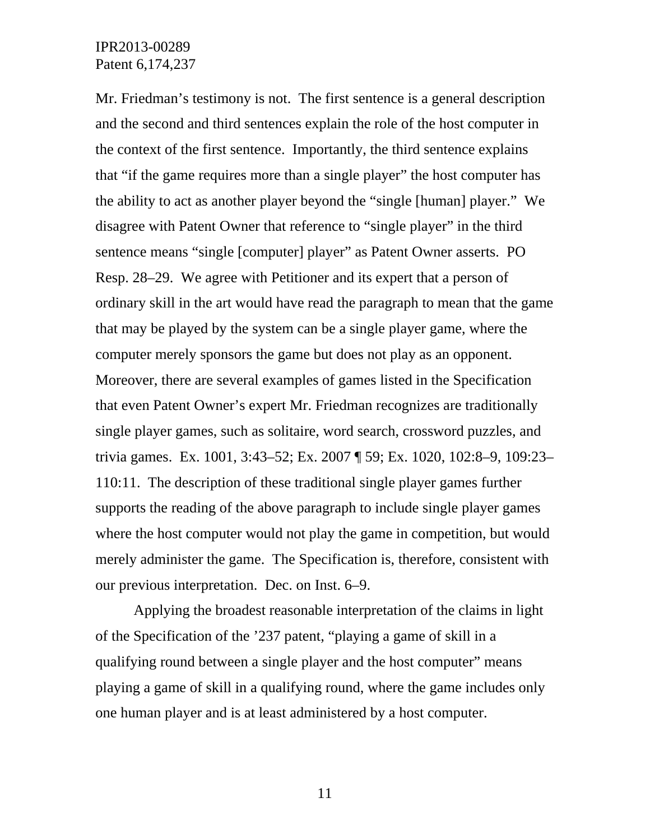Mr. Friedman's testimony is not. The first sentence is a general description and the second and third sentences explain the role of the host computer in the context of the first sentence. Importantly, the third sentence explains that "if the game requires more than a single player" the host computer has the ability to act as another player beyond the "single [human] player." We disagree with Patent Owner that reference to "single player" in the third sentence means "single [computer] player" as Patent Owner asserts. PO Resp. 28–29. We agree with Petitioner and its expert that a person of ordinary skill in the art would have read the paragraph to mean that the game that may be played by the system can be a single player game, where the computer merely sponsors the game but does not play as an opponent. Moreover, there are several examples of games listed in the Specification that even Patent Owner's expert Mr. Friedman recognizes are traditionally single player games, such as solitaire, word search, crossword puzzles, and trivia games. Ex. 1001, 3:43–52; Ex. 2007 ¶ 59; Ex. 1020, 102:8–9, 109:23– 110:11. The description of these traditional single player games further supports the reading of the above paragraph to include single player games where the host computer would not play the game in competition, but would merely administer the game. The Specification is, therefore, consistent with our previous interpretation. Dec. on Inst. 6–9.

Applying the broadest reasonable interpretation of the claims in light of the Specification of the '237 patent, "playing a game of skill in a qualifying round between a single player and the host computer" means playing a game of skill in a qualifying round, where the game includes only one human player and is at least administered by a host computer.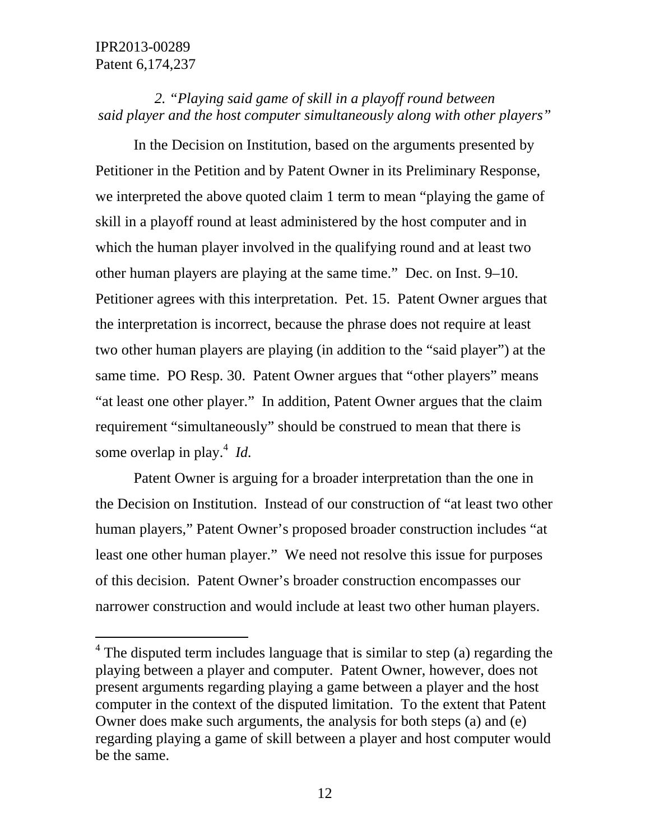$\overline{a}$ 

# *2. "Playing said game of skill in a playoff round between said player and the host computer simultaneously along with other players"*

In the Decision on Institution, based on the arguments presented by Petitioner in the Petition and by Patent Owner in its Preliminary Response, we interpreted the above quoted claim 1 term to mean "playing the game of skill in a playoff round at least administered by the host computer and in which the human player involved in the qualifying round and at least two other human players are playing at the same time." Dec. on Inst. 9–10. Petitioner agrees with this interpretation. Pet. 15. Patent Owner argues that the interpretation is incorrect, because the phrase does not require at least two other human players are playing (in addition to the "said player") at the same time. PO Resp. 30. Patent Owner argues that "other players" means "at least one other player." In addition, Patent Owner argues that the claim requirement "simultaneously" should be construed to mean that there is some overlap in play.<sup>4</sup> Id.

Patent Owner is arguing for a broader interpretation than the one in the Decision on Institution. Instead of our construction of "at least two other human players," Patent Owner's proposed broader construction includes "at least one other human player." We need not resolve this issue for purposes of this decision. Patent Owner's broader construction encompasses our narrower construction and would include at least two other human players.

 $4$  The disputed term includes language that is similar to step (a) regarding the playing between a player and computer. Patent Owner, however, does not present arguments regarding playing a game between a player and the host computer in the context of the disputed limitation. To the extent that Patent Owner does make such arguments, the analysis for both steps (a) and (e) regarding playing a game of skill between a player and host computer would be the same.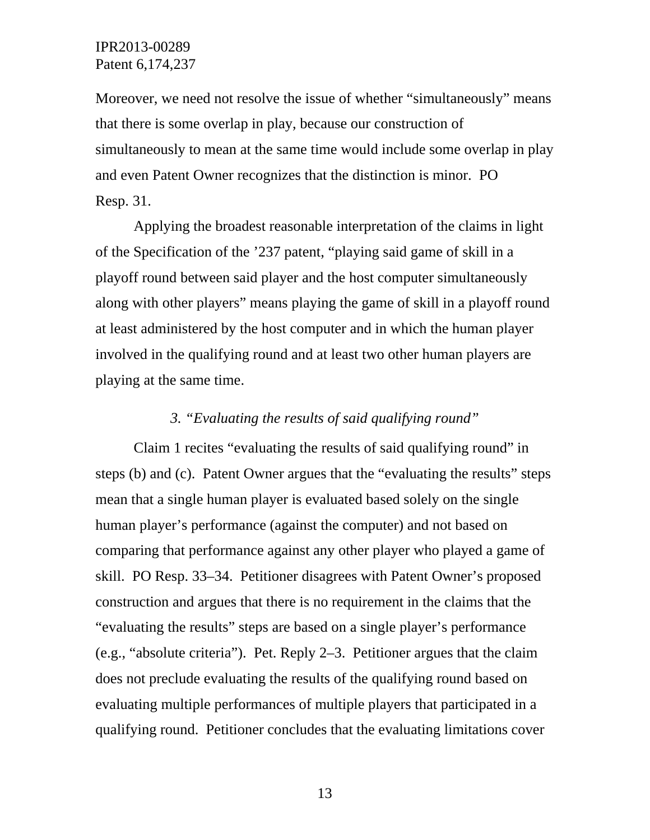Moreover, we need not resolve the issue of whether "simultaneously" means that there is some overlap in play, because our construction of simultaneously to mean at the same time would include some overlap in play and even Patent Owner recognizes that the distinction is minor. PO Resp. 31.

Applying the broadest reasonable interpretation of the claims in light of the Specification of the '237 patent, "playing said game of skill in a playoff round between said player and the host computer simultaneously along with other players" means playing the game of skill in a playoff round at least administered by the host computer and in which the human player involved in the qualifying round and at least two other human players are playing at the same time.

### *3. "Evaluating the results of said qualifying round"*

Claim 1 recites "evaluating the results of said qualifying round" in steps (b) and (c). Patent Owner argues that the "evaluating the results" steps mean that a single human player is evaluated based solely on the single human player's performance (against the computer) and not based on comparing that performance against any other player who played a game of skill. PO Resp. 33–34. Petitioner disagrees with Patent Owner's proposed construction and argues that there is no requirement in the claims that the "evaluating the results" steps are based on a single player's performance (e.g., "absolute criteria"). Pet. Reply 2–3. Petitioner argues that the claim does not preclude evaluating the results of the qualifying round based on evaluating multiple performances of multiple players that participated in a qualifying round. Petitioner concludes that the evaluating limitations cover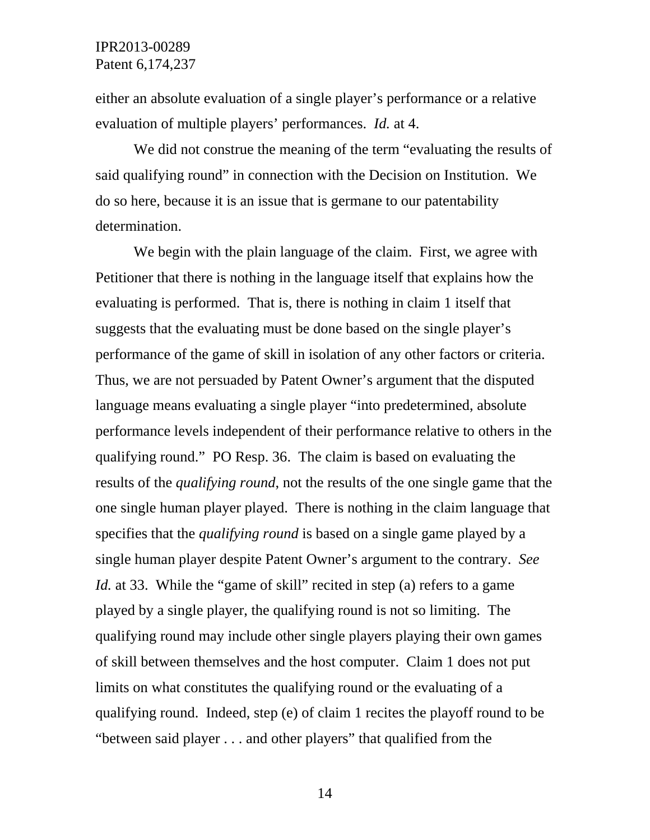either an absolute evaluation of a single player's performance or a relative evaluation of multiple players' performances. *Id.* at 4.

We did not construe the meaning of the term "evaluating the results of said qualifying round" in connection with the Decision on Institution. We do so here, because it is an issue that is germane to our patentability determination.

We begin with the plain language of the claim. First, we agree with Petitioner that there is nothing in the language itself that explains how the evaluating is performed. That is, there is nothing in claim 1 itself that suggests that the evaluating must be done based on the single player's performance of the game of skill in isolation of any other factors or criteria. Thus, we are not persuaded by Patent Owner's argument that the disputed language means evaluating a single player "into predetermined, absolute performance levels independent of their performance relative to others in the qualifying round." PO Resp. 36. The claim is based on evaluating the results of the *qualifying round*, not the results of the one single game that the one single human player played. There is nothing in the claim language that specifies that the *qualifying round* is based on a single game played by a single human player despite Patent Owner's argument to the contrary. *See Id.* at 33. While the "game of skill" recited in step (a) refers to a game played by a single player, the qualifying round is not so limiting. The qualifying round may include other single players playing their own games of skill between themselves and the host computer. Claim 1 does not put limits on what constitutes the qualifying round or the evaluating of a qualifying round. Indeed, step (e) of claim 1 recites the playoff round to be "between said player . . . and other players" that qualified from the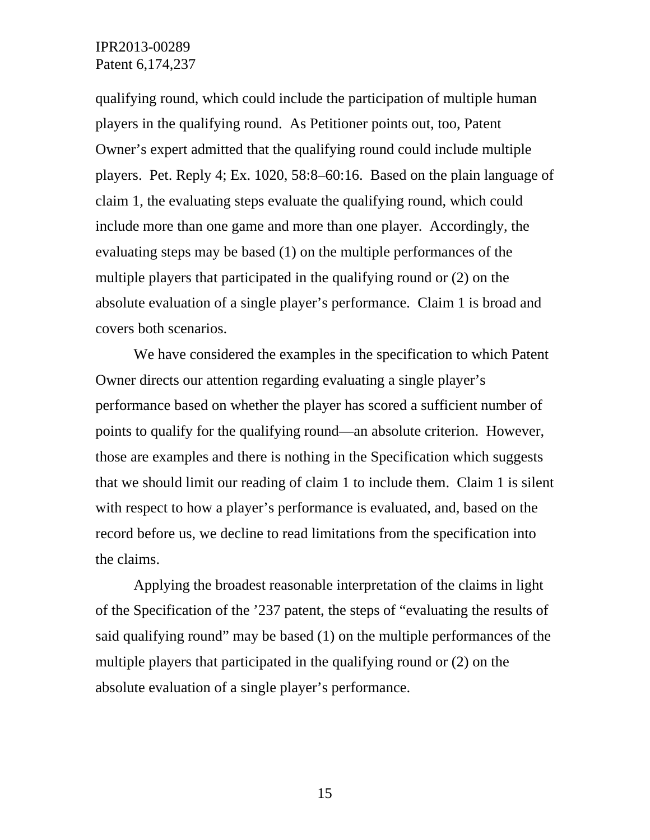qualifying round, which could include the participation of multiple human players in the qualifying round. As Petitioner points out, too, Patent Owner's expert admitted that the qualifying round could include multiple players. Pet. Reply 4; Ex. 1020, 58:8–60:16. Based on the plain language of claim 1, the evaluating steps evaluate the qualifying round, which could include more than one game and more than one player. Accordingly, the evaluating steps may be based (1) on the multiple performances of the multiple players that participated in the qualifying round or (2) on the absolute evaluation of a single player's performance. Claim 1 is broad and covers both scenarios.

We have considered the examples in the specification to which Patent Owner directs our attention regarding evaluating a single player's performance based on whether the player has scored a sufficient number of points to qualify for the qualifying round—an absolute criterion. However, those are examples and there is nothing in the Specification which suggests that we should limit our reading of claim 1 to include them. Claim 1 is silent with respect to how a player's performance is evaluated, and, based on the record before us, we decline to read limitations from the specification into the claims.

Applying the broadest reasonable interpretation of the claims in light of the Specification of the '237 patent, the steps of "evaluating the results of said qualifying round" may be based (1) on the multiple performances of the multiple players that participated in the qualifying round or (2) on the absolute evaluation of a single player's performance.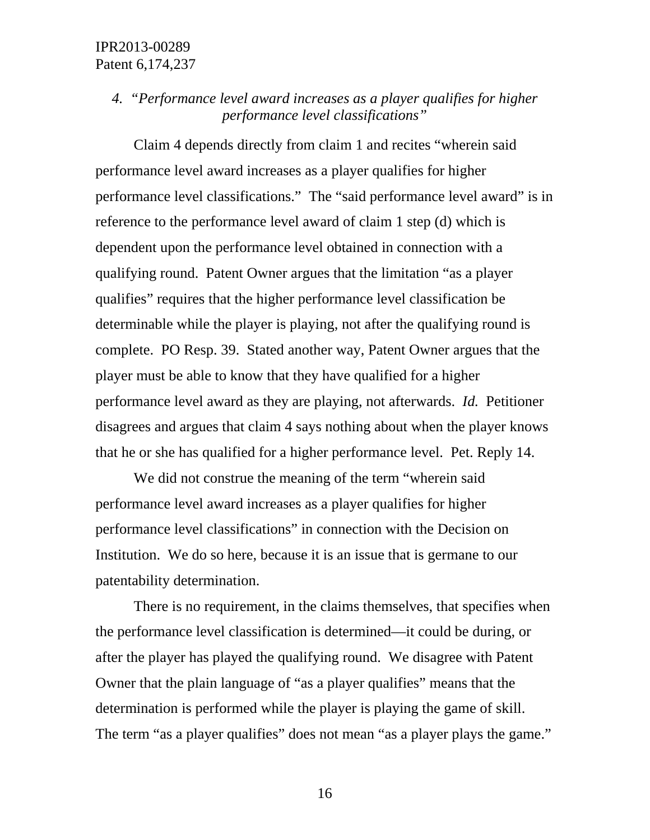# *4. "Performance level award increases as a player qualifies for higher performance level classifications"*

Claim 4 depends directly from claim 1 and recites "wherein said performance level award increases as a player qualifies for higher performance level classifications." The "said performance level award" is in reference to the performance level award of claim 1 step (d) which is dependent upon the performance level obtained in connection with a qualifying round. Patent Owner argues that the limitation "as a player qualifies" requires that the higher performance level classification be determinable while the player is playing, not after the qualifying round is complete. PO Resp. 39. Stated another way, Patent Owner argues that the player must be able to know that they have qualified for a higher performance level award as they are playing, not afterwards. *Id.* Petitioner disagrees and argues that claim 4 says nothing about when the player knows that he or she has qualified for a higher performance level. Pet. Reply 14.

We did not construe the meaning of the term "wherein said performance level award increases as a player qualifies for higher performance level classifications" in connection with the Decision on Institution. We do so here, because it is an issue that is germane to our patentability determination.

There is no requirement, in the claims themselves, that specifies when the performance level classification is determined—it could be during, or after the player has played the qualifying round. We disagree with Patent Owner that the plain language of "as a player qualifies" means that the determination is performed while the player is playing the game of skill. The term "as a player qualifies" does not mean "as a player plays the game."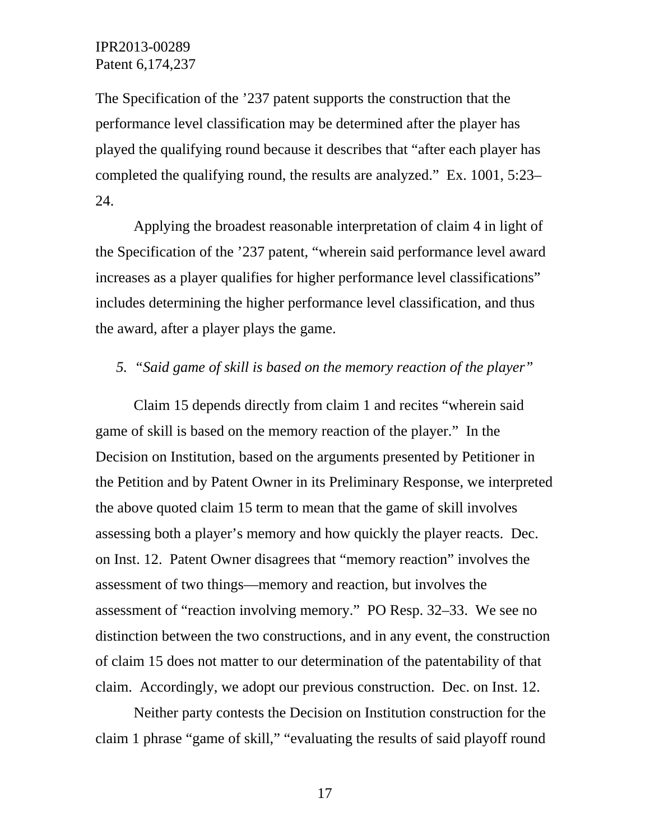The Specification of the '237 patent supports the construction that the performance level classification may be determined after the player has played the qualifying round because it describes that "after each player has completed the qualifying round, the results are analyzed." Ex. 1001, 5:23– 24.

Applying the broadest reasonable interpretation of claim 4 in light of the Specification of the '237 patent, "wherein said performance level award increases as a player qualifies for higher performance level classifications" includes determining the higher performance level classification, and thus the award, after a player plays the game.

#### *5. "Said game of skill is based on the memory reaction of the player"*

Claim 15 depends directly from claim 1 and recites "wherein said game of skill is based on the memory reaction of the player." In the Decision on Institution, based on the arguments presented by Petitioner in the Petition and by Patent Owner in its Preliminary Response, we interpreted the above quoted claim 15 term to mean that the game of skill involves assessing both a player's memory and how quickly the player reacts. Dec. on Inst. 12. Patent Owner disagrees that "memory reaction" involves the assessment of two things—memory and reaction, but involves the assessment of "reaction involving memory." PO Resp. 32–33. We see no distinction between the two constructions, and in any event, the construction of claim 15 does not matter to our determination of the patentability of that claim. Accordingly, we adopt our previous construction. Dec. on Inst. 12.

Neither party contests the Decision on Institution construction for the claim 1 phrase "game of skill," "evaluating the results of said playoff round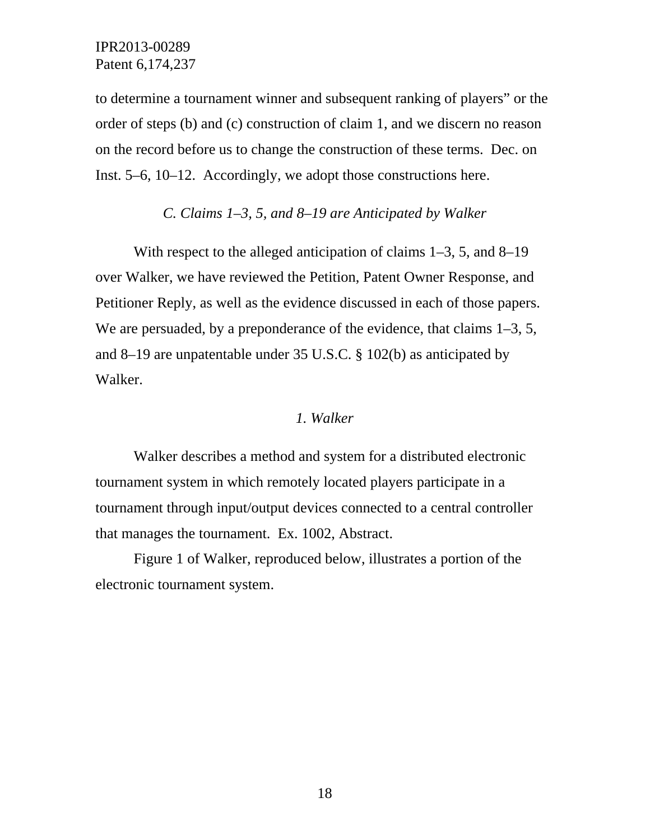to determine a tournament winner and subsequent ranking of players" or the order of steps (b) and (c) construction of claim 1, and we discern no reason on the record before us to change the construction of these terms. Dec. on Inst. 5–6, 10–12. Accordingly, we adopt those constructions here.

### *C. Claims 1–3, 5, and 8–19 are Anticipated by Walker*

With respect to the alleged anticipation of claims 1–3, 5, and 8–19 over Walker, we have reviewed the Petition, Patent Owner Response, and Petitioner Reply, as well as the evidence discussed in each of those papers. We are persuaded, by a preponderance of the evidence, that claims 1–3, 5, and 8–19 are unpatentable under 35 U.S.C. § 102(b) as anticipated by Walker.

#### *1. Walker*

Walker describes a method and system for a distributed electronic tournament system in which remotely located players participate in a tournament through input/output devices connected to a central controller that manages the tournament. Ex. 1002, Abstract.

Figure 1 of Walker, reproduced below, illustrates a portion of the electronic tournament system.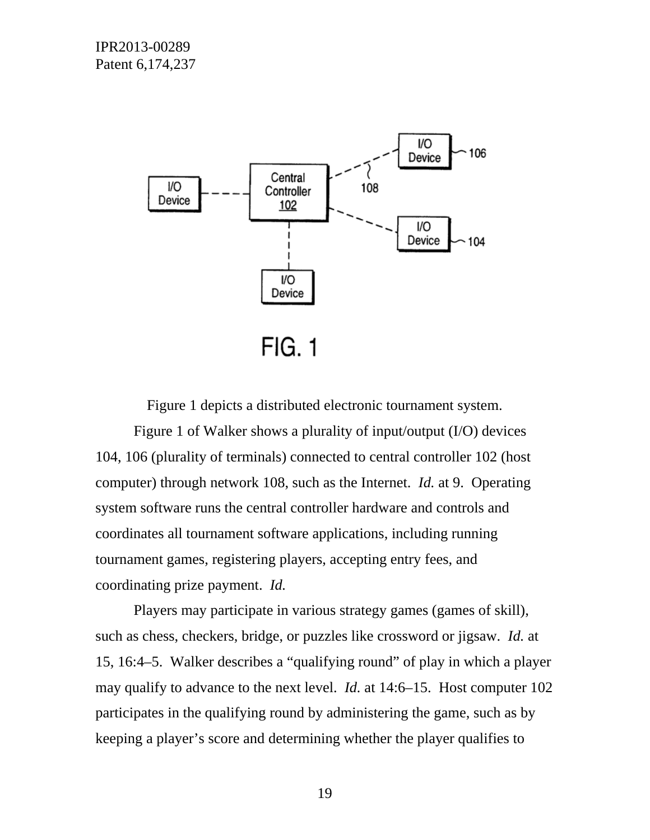

Figure 1 depicts a distributed electronic tournament system.

Figure 1 of Walker shows a plurality of input/output (I/O) devices 104, 106 (plurality of terminals) connected to central controller 102 (host computer) through network 108, such as the Internet. *Id.* at 9. Operating system software runs the central controller hardware and controls and coordinates all tournament software applications, including running tournament games, registering players, accepting entry fees, and coordinating prize payment. *Id.*

Players may participate in various strategy games (games of skill), such as chess, checkers, bridge, or puzzles like crossword or jigsaw. *Id.* at 15, 16:4–5. Walker describes a "qualifying round" of play in which a player may qualify to advance to the next level. *Id.* at 14:6–15. Host computer 102 participates in the qualifying round by administering the game, such as by keeping a player's score and determining whether the player qualifies to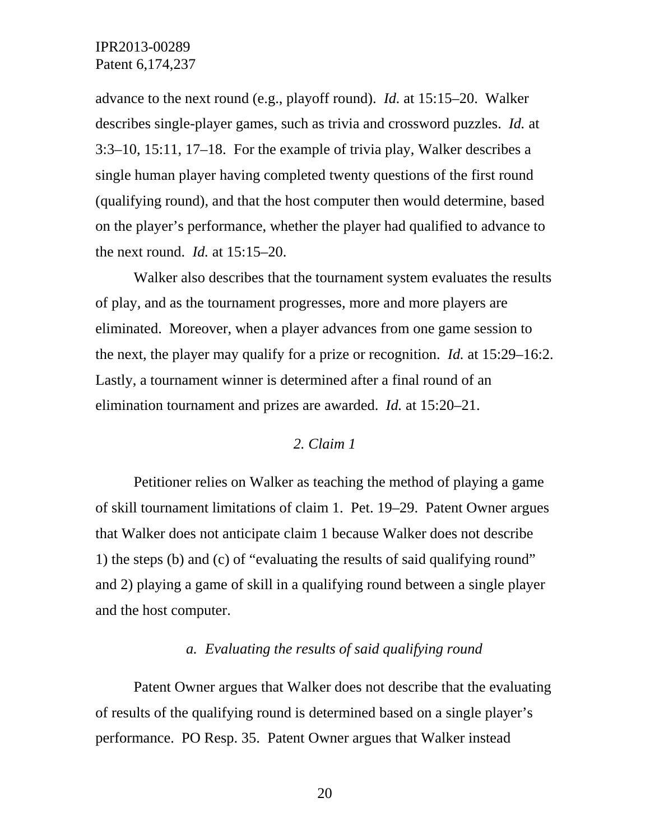advance to the next round (e.g., playoff round). *Id.* at 15:15–20. Walker describes single-player games, such as trivia and crossword puzzles. *Id.* at 3:3–10, 15:11, 17–18. For the example of trivia play, Walker describes a single human player having completed twenty questions of the first round (qualifying round), and that the host computer then would determine, based on the player's performance, whether the player had qualified to advance to the next round. *Id.* at 15:15–20.

Walker also describes that the tournament system evaluates the results of play, and as the tournament progresses, more and more players are eliminated. Moreover, when a player advances from one game session to the next, the player may qualify for a prize or recognition. *Id.* at 15:29–16:2. Lastly, a tournament winner is determined after a final round of an elimination tournament and prizes are awarded. *Id.* at 15:20–21.

#### *2. Claim 1*

Petitioner relies on Walker as teaching the method of playing a game of skill tournament limitations of claim 1. Pet. 19–29. Patent Owner argues that Walker does not anticipate claim 1 because Walker does not describe 1) the steps (b) and (c) of "evaluating the results of said qualifying round" and 2) playing a game of skill in a qualifying round between a single player and the host computer.

### *a. Evaluating the results of said qualifying round*

Patent Owner argues that Walker does not describe that the evaluating of results of the qualifying round is determined based on a single player's performance. PO Resp. 35. Patent Owner argues that Walker instead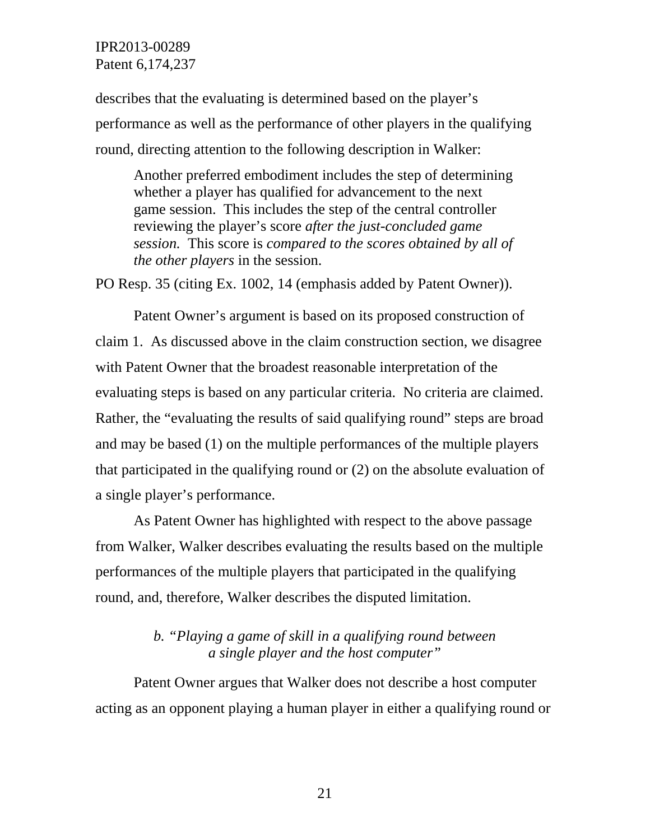describes that the evaluating is determined based on the player's performance as well as the performance of other players in the qualifying round, directing attention to the following description in Walker:

Another preferred embodiment includes the step of determining whether a player has qualified for advancement to the next game session. This includes the step of the central controller reviewing the player's score *after the just-concluded game session.* This score is *compared to the scores obtained by all of the other players* in the session.

PO Resp. 35 (citing Ex. 1002, 14 (emphasis added by Patent Owner)).

Patent Owner's argument is based on its proposed construction of claim 1. As discussed above in the claim construction section, we disagree with Patent Owner that the broadest reasonable interpretation of the evaluating steps is based on any particular criteria. No criteria are claimed. Rather, the "evaluating the results of said qualifying round" steps are broad and may be based (1) on the multiple performances of the multiple players that participated in the qualifying round or (2) on the absolute evaluation of a single player's performance.

As Patent Owner has highlighted with respect to the above passage from Walker, Walker describes evaluating the results based on the multiple performances of the multiple players that participated in the qualifying round, and, therefore, Walker describes the disputed limitation.

# *b. "Playing a game of skill in a qualifying round between a single player and the host computer"*

Patent Owner argues that Walker does not describe a host computer acting as an opponent playing a human player in either a qualifying round or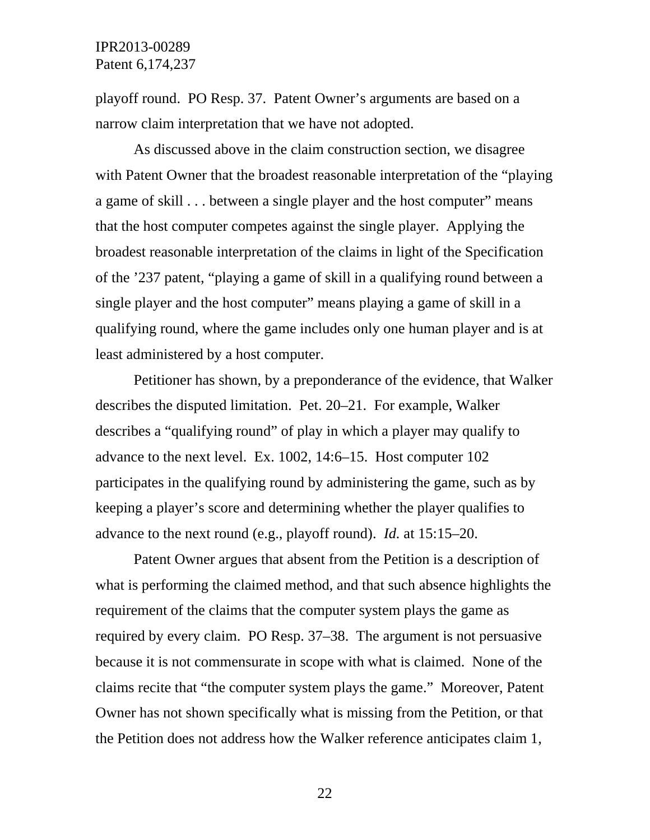playoff round. PO Resp. 37. Patent Owner's arguments are based on a narrow claim interpretation that we have not adopted.

As discussed above in the claim construction section, we disagree with Patent Owner that the broadest reasonable interpretation of the "playing a game of skill . . . between a single player and the host computer" means that the host computer competes against the single player. Applying the broadest reasonable interpretation of the claims in light of the Specification of the '237 patent, "playing a game of skill in a qualifying round between a single player and the host computer" means playing a game of skill in a qualifying round, where the game includes only one human player and is at least administered by a host computer.

Petitioner has shown, by a preponderance of the evidence, that Walker describes the disputed limitation. Pet. 20–21. For example, Walker describes a "qualifying round" of play in which a player may qualify to advance to the next level. Ex. 1002, 14:6–15. Host computer 102 participates in the qualifying round by administering the game, such as by keeping a player's score and determining whether the player qualifies to advance to the next round (e.g., playoff round). *Id.* at 15:15–20.

Patent Owner argues that absent from the Petition is a description of what is performing the claimed method, and that such absence highlights the requirement of the claims that the computer system plays the game as required by every claim. PO Resp. 37–38. The argument is not persuasive because it is not commensurate in scope with what is claimed. None of the claims recite that "the computer system plays the game." Moreover, Patent Owner has not shown specifically what is missing from the Petition, or that the Petition does not address how the Walker reference anticipates claim 1,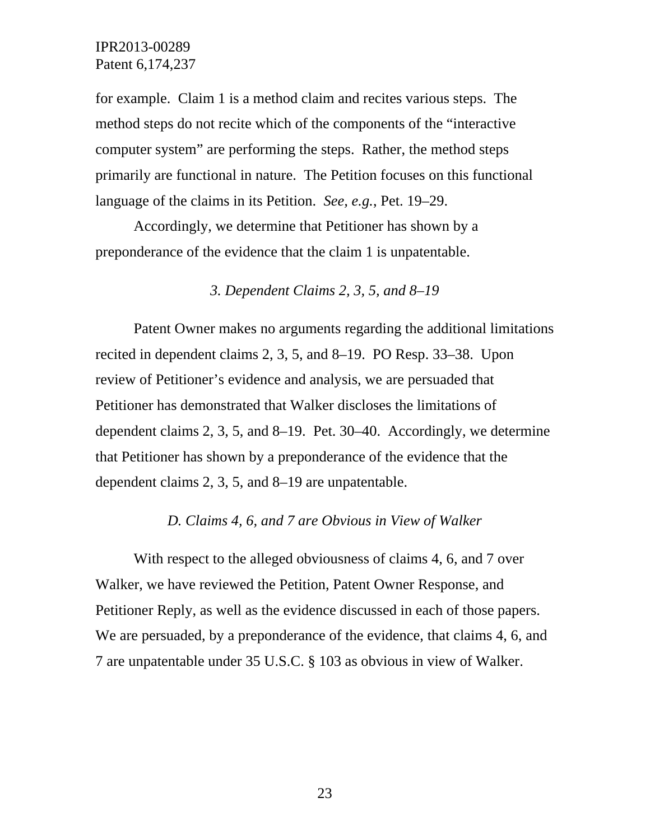for example. Claim 1 is a method claim and recites various steps. The method steps do not recite which of the components of the "interactive computer system" are performing the steps. Rather, the method steps primarily are functional in nature. The Petition focuses on this functional language of the claims in its Petition. *See, e.g.*, Pet. 19–29.

Accordingly, we determine that Petitioner has shown by a preponderance of the evidence that the claim 1 is unpatentable.

### *3. Dependent Claims 2, 3, 5, and 8–19*

 Patent Owner makes no arguments regarding the additional limitations recited in dependent claims 2, 3, 5, and 8–19. PO Resp. 33–38. Upon review of Petitioner's evidence and analysis, we are persuaded that Petitioner has demonstrated that Walker discloses the limitations of dependent claims 2, 3, 5, and 8–19. Pet. 30–40. Accordingly, we determine that Petitioner has shown by a preponderance of the evidence that the dependent claims 2, 3, 5, and 8–19 are unpatentable.

### *D. Claims 4, 6, and 7 are Obvious in View of Walker*

With respect to the alleged obviousness of claims 4, 6, and 7 over Walker, we have reviewed the Petition, Patent Owner Response, and Petitioner Reply, as well as the evidence discussed in each of those papers. We are persuaded, by a preponderance of the evidence, that claims 4, 6, and 7 are unpatentable under 35 U.S.C. § 103 as obvious in view of Walker.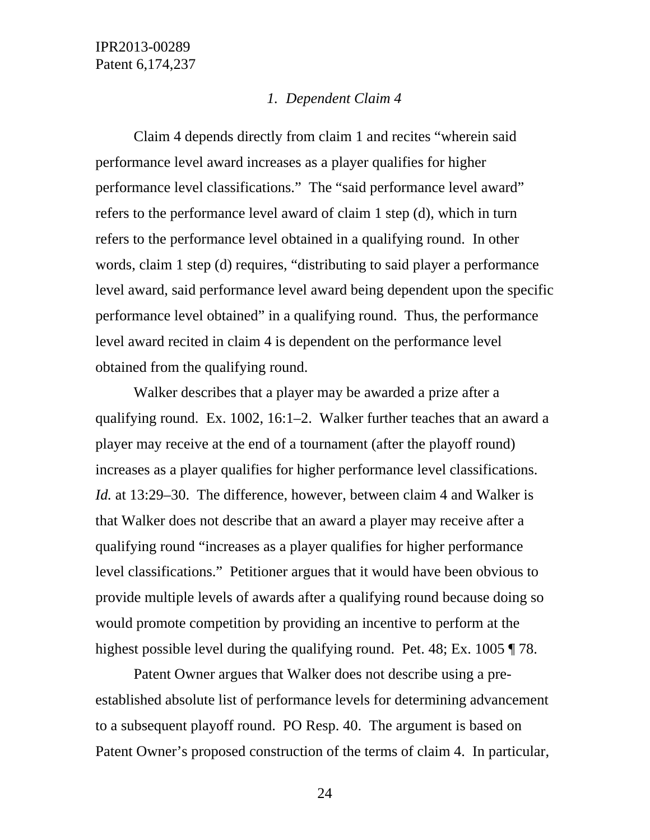#### *1. Dependent Claim 4*

Claim 4 depends directly from claim 1 and recites "wherein said performance level award increases as a player qualifies for higher performance level classifications." The "said performance level award" refers to the performance level award of claim 1 step (d), which in turn refers to the performance level obtained in a qualifying round. In other words, claim 1 step (d) requires, "distributing to said player a performance level award, said performance level award being dependent upon the specific performance level obtained" in a qualifying round. Thus, the performance level award recited in claim 4 is dependent on the performance level obtained from the qualifying round.

Walker describes that a player may be awarded a prize after a qualifying round. Ex. 1002, 16:1–2. Walker further teaches that an award a player may receive at the end of a tournament (after the playoff round) increases as a player qualifies for higher performance level classifications. *Id.* at 13:29–30. The difference, however, between claim 4 and Walker is that Walker does not describe that an award a player may receive after a qualifying round "increases as a player qualifies for higher performance level classifications." Petitioner argues that it would have been obvious to provide multiple levels of awards after a qualifying round because doing so would promote competition by providing an incentive to perform at the highest possible level during the qualifying round. Pet. 48; Ex. 1005 ¶ 78.

Patent Owner argues that Walker does not describe using a preestablished absolute list of performance levels for determining advancement to a subsequent playoff round. PO Resp. 40. The argument is based on Patent Owner's proposed construction of the terms of claim 4. In particular,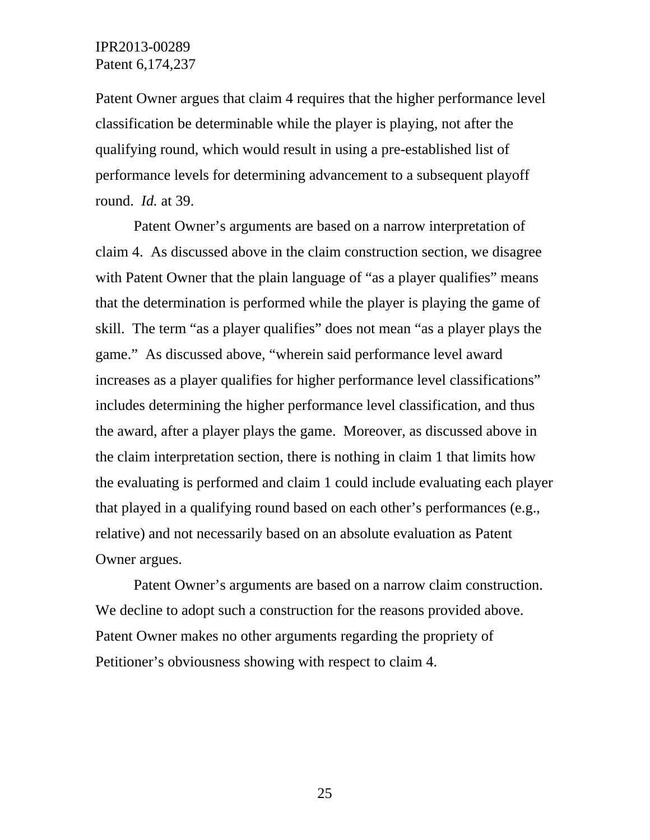Patent Owner argues that claim 4 requires that the higher performance level classification be determinable while the player is playing, not after the qualifying round, which would result in using a pre-established list of performance levels for determining advancement to a subsequent playoff round. *Id.* at 39.

Patent Owner's arguments are based on a narrow interpretation of claim 4. As discussed above in the claim construction section, we disagree with Patent Owner that the plain language of "as a player qualifies" means that the determination is performed while the player is playing the game of skill. The term "as a player qualifies" does not mean "as a player plays the game." As discussed above, "wherein said performance level award increases as a player qualifies for higher performance level classifications" includes determining the higher performance level classification, and thus the award, after a player plays the game. Moreover, as discussed above in the claim interpretation section, there is nothing in claim 1 that limits how the evaluating is performed and claim 1 could include evaluating each player that played in a qualifying round based on each other's performances (e.g., relative) and not necessarily based on an absolute evaluation as Patent Owner argues.

Patent Owner's arguments are based on a narrow claim construction. We decline to adopt such a construction for the reasons provided above. Patent Owner makes no other arguments regarding the propriety of Petitioner's obviousness showing with respect to claim 4.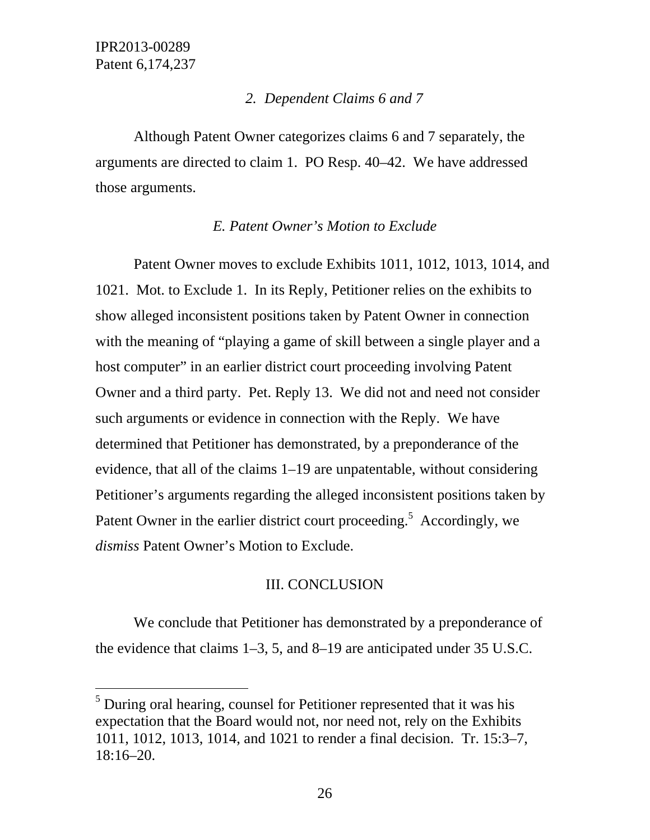$\overline{a}$ 

## *2. Dependent Claims 6 and 7*

Although Patent Owner categorizes claims 6 and 7 separately, the arguments are directed to claim 1. PO Resp. 40–42. We have addressed those arguments.

## *E. Patent Owner's Motion to Exclude*

Patent Owner moves to exclude Exhibits 1011, 1012, 1013, 1014, and 1021. Mot. to Exclude 1. In its Reply, Petitioner relies on the exhibits to show alleged inconsistent positions taken by Patent Owner in connection with the meaning of "playing a game of skill between a single player and a host computer" in an earlier district court proceeding involving Patent Owner and a third party. Pet. Reply 13. We did not and need not consider such arguments or evidence in connection with the Reply. We have determined that Petitioner has demonstrated, by a preponderance of the evidence, that all of the claims 1–19 are unpatentable, without considering Petitioner's arguments regarding the alleged inconsistent positions taken by Patent Owner in the earlier district court proceeding.<sup>5</sup> Accordingly, we *dismiss* Patent Owner's Motion to Exclude.

# III. CONCLUSION

 We conclude that Petitioner has demonstrated by a preponderance of the evidence that claims 1–3, 5, and 8–19 are anticipated under 35 U.S.C.

 $<sup>5</sup>$  During oral hearing, counsel for Petitioner represented that it was his</sup> expectation that the Board would not, nor need not, rely on the Exhibits 1011, 1012, 1013, 1014, and 1021 to render a final decision. Tr. 15:3–7, 18:16–20.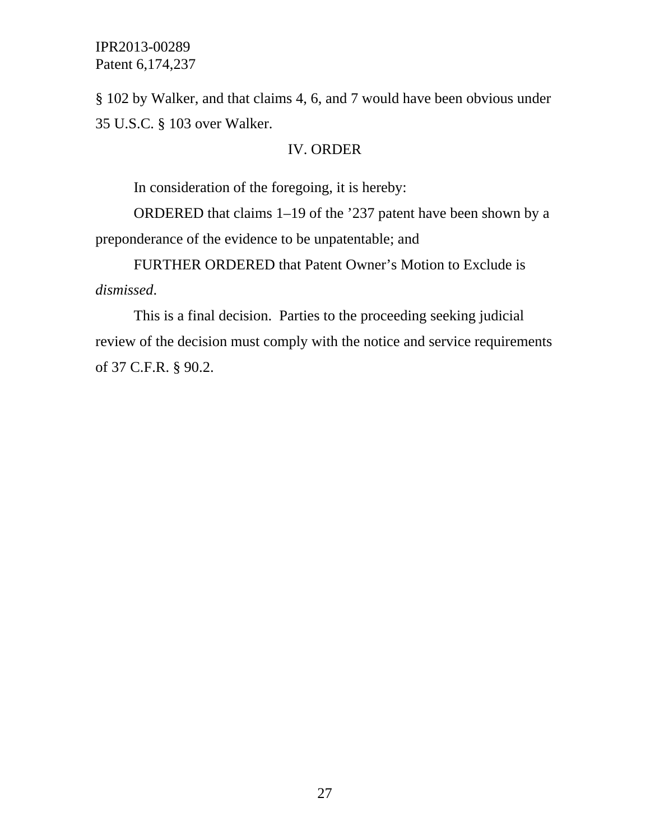§ 102 by Walker, and that claims 4, 6, and 7 would have been obvious under 35 U.S.C. § 103 over Walker.

## IV. ORDER

In consideration of the foregoing, it is hereby:

ORDERED that claims 1–19 of the '237 patent have been shown by a preponderance of the evidence to be unpatentable; and

FURTHER ORDERED that Patent Owner's Motion to Exclude is *dismissed*.

This is a final decision. Parties to the proceeding seeking judicial review of the decision must comply with the notice and service requirements of 37 C.F.R. § 90.2.